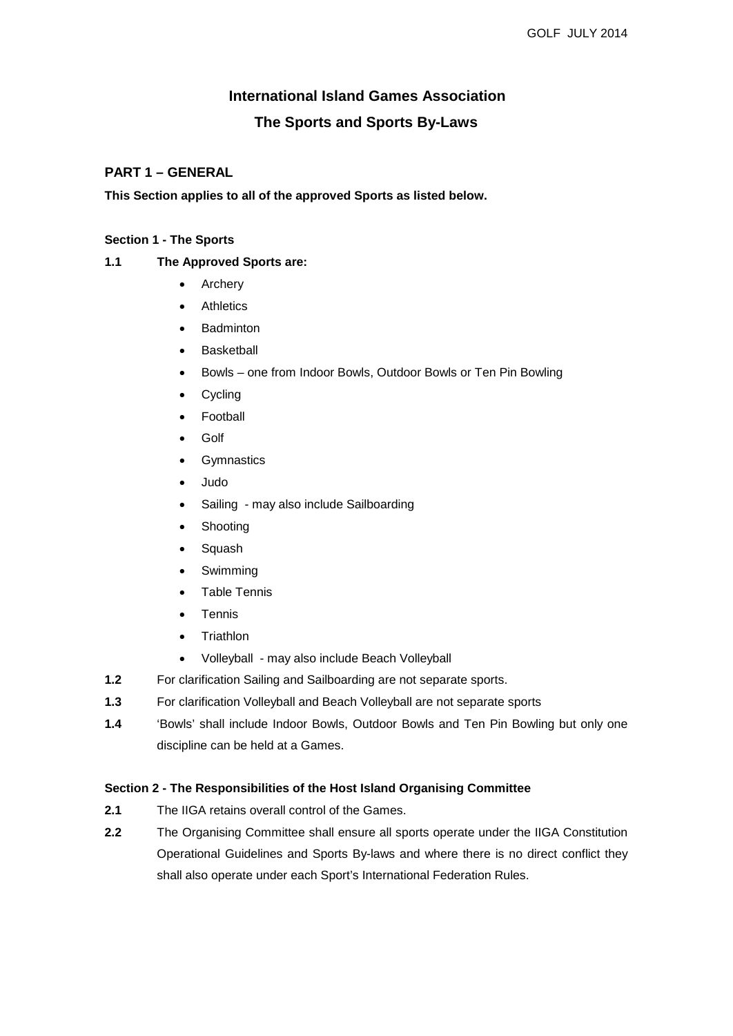# **International Island Games Association The Sports and Sports By-Laws**

## **PART 1 – GENERAL**

**This Section applies to all of the approved Sports as listed below.**

#### **Section 1 - The Sports**

#### **1.1 The Approved Sports are:**

- Archery
- **Athletics**
- **Badminton**
- **Basketball**
- Bowls one from Indoor Bowls, Outdoor Bowls or Ten Pin Bowling
- Cycling
- **Football**
- Golf
- Gymnastics
- Judo
- Sailing may also include Sailboarding
- **Shooting**
- **Squash**
- **Swimming**
- Table Tennis
- **Tennis**
- Triathlon
- Volleyball may also include Beach Volleyball
- **1.2** For clarification Sailing and Sailboarding are not separate sports.
- **1.3** For clarification Volleyball and Beach Volleyball are not separate sports
- **1.4** 'Bowls' shall include Indoor Bowls, Outdoor Bowls and Ten Pin Bowling but only one discipline can be held at a Games.

#### **Section 2 - The Responsibilities of the Host Island Organising Committee**

- **2.1** The IIGA retains overall control of the Games.
- **2.2** The Organising Committee shall ensure all sports operate under the IIGA Constitution Operational Guidelines and Sports By-laws and where there is no direct conflict they shall also operate under each Sport's International Federation Rules.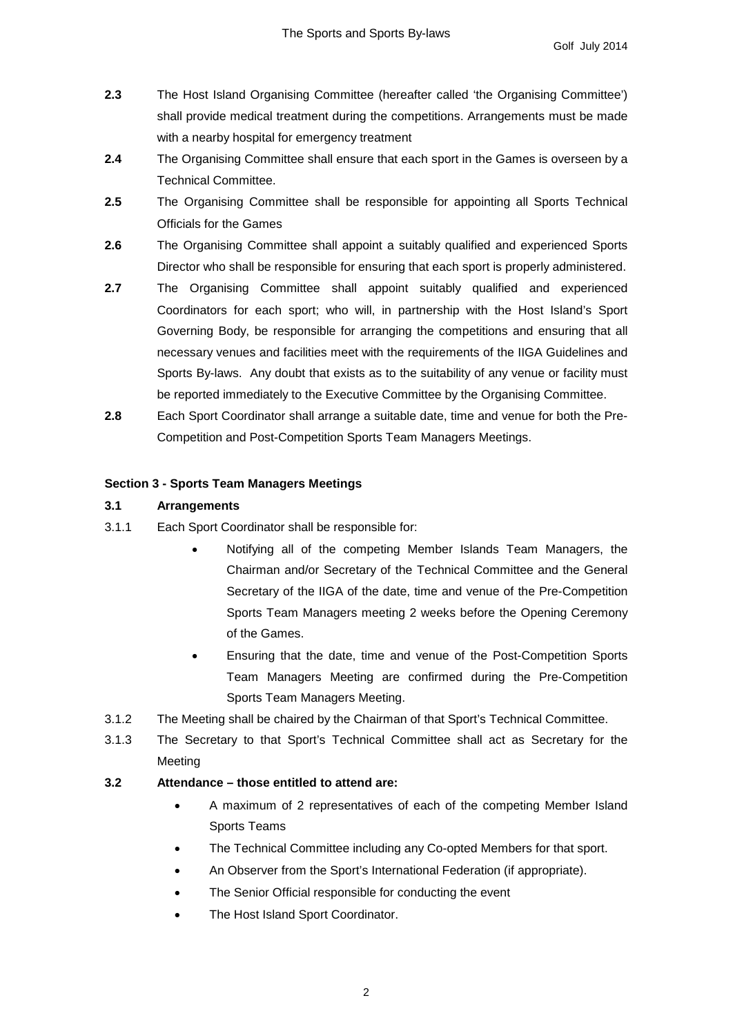- **2.3** The Host Island Organising Committee (hereafter called 'the Organising Committee') shall provide medical treatment during the competitions. Arrangements must be made with a nearby hospital for emergency treatment
- **2.4** The Organising Committee shall ensure that each sport in the Games is overseen by a Technical Committee.
- **2.5** The Organising Committee shall be responsible for appointing all Sports Technical Officials for the Games
- **2.6** The Organising Committee shall appoint a suitably qualified and experienced Sports Director who shall be responsible for ensuring that each sport is properly administered.
- **2.7** The Organising Committee shall appoint suitably qualified and experienced Coordinators for each sport; who will, in partnership with the Host Island's Sport Governing Body, be responsible for arranging the competitions and ensuring that all necessary venues and facilities meet with the requirements of the IIGA Guidelines and Sports By-laws. Any doubt that exists as to the suitability of any venue or facility must be reported immediately to the Executive Committee by the Organising Committee.
- **2.8** Each Sport Coordinator shall arrange a suitable date, time and venue for both the Pre-Competition and Post-Competition Sports Team Managers Meetings.

#### **Section 3 - Sports Team Managers Meetings**

#### **3.1 Arrangements**

- 3.1.1 Each Sport Coordinator shall be responsible for:
	- Notifying all of the competing Member Islands Team Managers, the Chairman and/or Secretary of the Technical Committee and the General Secretary of the IIGA of the date, time and venue of the Pre-Competition Sports Team Managers meeting 2 weeks before the Opening Ceremony of the Games.
	- Ensuring that the date, time and venue of the Post-Competition Sports Team Managers Meeting are confirmed during the Pre-Competition Sports Team Managers Meeting.
- 3.1.2 The Meeting shall be chaired by the Chairman of that Sport's Technical Committee.
- 3.1.3 The Secretary to that Sport's Technical Committee shall act as Secretary for the Meeting

#### **3.2 Attendance – those entitled to attend are:**

- A maximum of 2 representatives of each of the competing Member Island Sports Teams
- The Technical Committee including any Co-opted Members for that sport.
- An Observer from the Sport's International Federation (if appropriate).
- The Senior Official responsible for conducting the event
- The Host Island Sport Coordinator.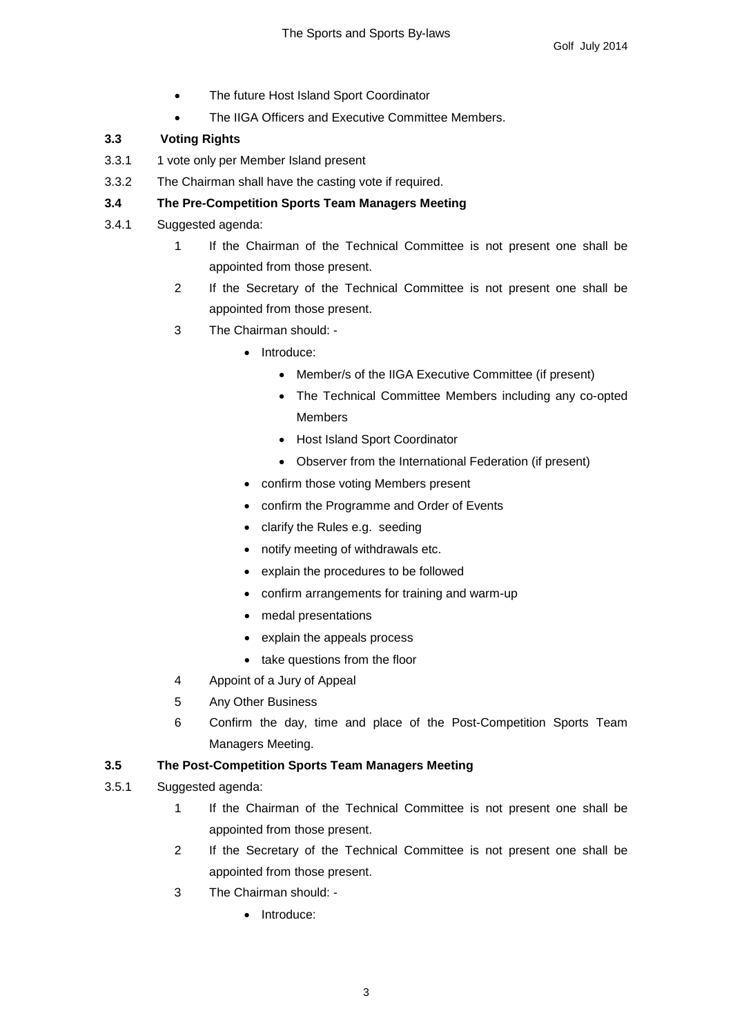- The future Host Island Sport Coordinator
- The IIGA Officers and Executive Committee Members.

## **3.3 Voting Rights**

- 3.3.1 1 vote only per Member Island present
- 3.3.2 The Chairman shall have the casting vote if required.

## **3.4 The Pre-Competition Sports Team Managers Meeting**

- 3.4.1 Suggested agenda:
	- 1 If the Chairman of the Technical Committee is not present one shall be appointed from those present.
	- 2 If the Secretary of the Technical Committee is not present one shall be appointed from those present.
	- 3 The Chairman should:
		- Introduce:
			- Member/s of the IIGA Executive Committee (if present)
			- The Technical Committee Members including any co-opted Members
			- Host Island Sport Coordinator
			- Observer from the International Federation (if present)
		- confirm those voting Members present
		- confirm the Programme and Order of Events
		- clarify the Rules e.g. seeding
		- notify meeting of withdrawals etc.
		- explain the procedures to be followed
		- confirm arrangements for training and warm-up
		- medal presentations
		- explain the appeals process
		- take questions from the floor
	- 4 Appoint of a Jury of Appeal
	- 5 Any Other Business
	- 6 Confirm the day, time and place of the Post-Competition Sports Team Managers Meeting.

## **3.5 The Post-Competition Sports Team Managers Meeting**

#### 3.5.1 Suggested agenda:

- 1 If the Chairman of the Technical Committee is not present one shall be appointed from those present.
- 2 If the Secretary of the Technical Committee is not present one shall be appointed from those present.
- 3 The Chairman should:
	- Introduce: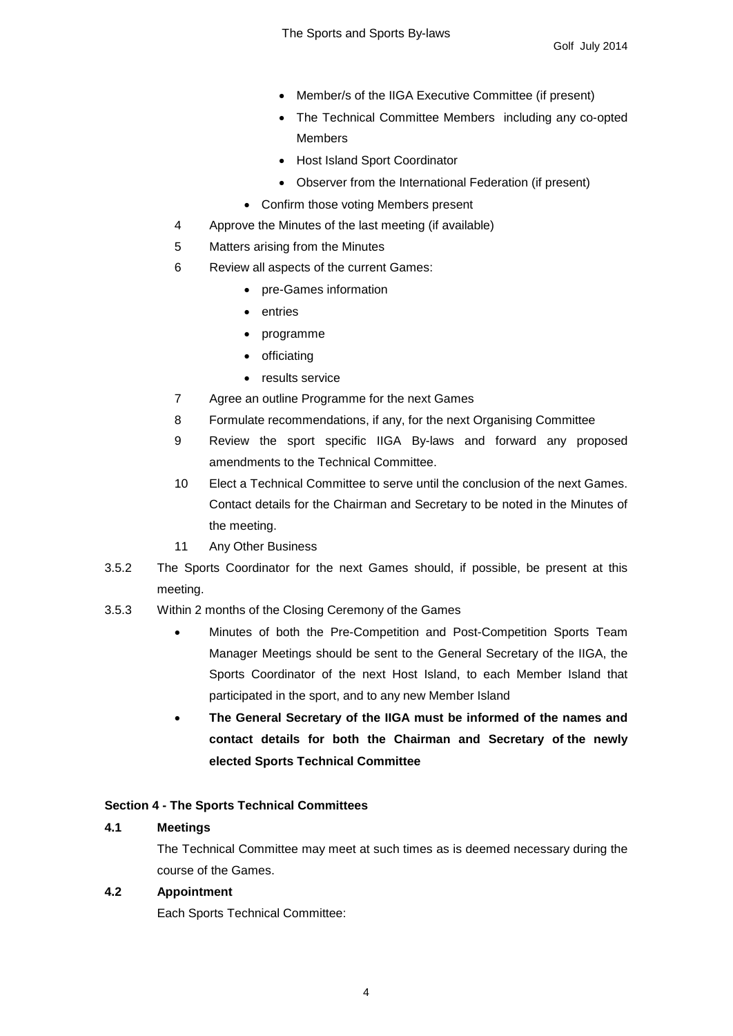- Member/s of the IIGA Executive Committee (if present)
- The Technical Committee Members including any co-opted Members
- Host Island Sport Coordinator
- Observer from the International Federation (if present)
- Confirm those voting Members present
- 4 Approve the Minutes of the last meeting (if available)
- 5 Matters arising from the Minutes
- 6 Review all aspects of the current Games:
	- pre-Games information
	- entries
	- programme
	- officiating
	- results service
- 7 Agree an outline Programme for the next Games
- 8 Formulate recommendations, if any, for the next Organising Committee
- 9 Review the sport specific IIGA By-laws and forward any proposed amendments to the Technical Committee.
- 10 Elect a Technical Committee to serve until the conclusion of the next Games. Contact details for the Chairman and Secretary to be noted in the Minutes of the meeting.
- 11 Any Other Business
- 3.5.2 The Sports Coordinator for the next Games should, if possible, be present at this meeting.
- 3.5.3 Within 2 months of the Closing Ceremony of the Games
	- Minutes of both the Pre-Competition and Post-Competition Sports Team Manager Meetings should be sent to the General Secretary of the IIGA, the Sports Coordinator of the next Host Island, to each Member Island that participated in the sport, and to any new Member Island
	- **The General Secretary of the IIGA must be informed of the names and contact details for both the Chairman and Secretary of the newly elected Sports Technical Committee**

#### **Section 4 - The Sports Technical Committees**

#### **4.1 Meetings**

The Technical Committee may meet at such times as is deemed necessary during the course of the Games.

#### **4.2 Appointment**

Each Sports Technical Committee: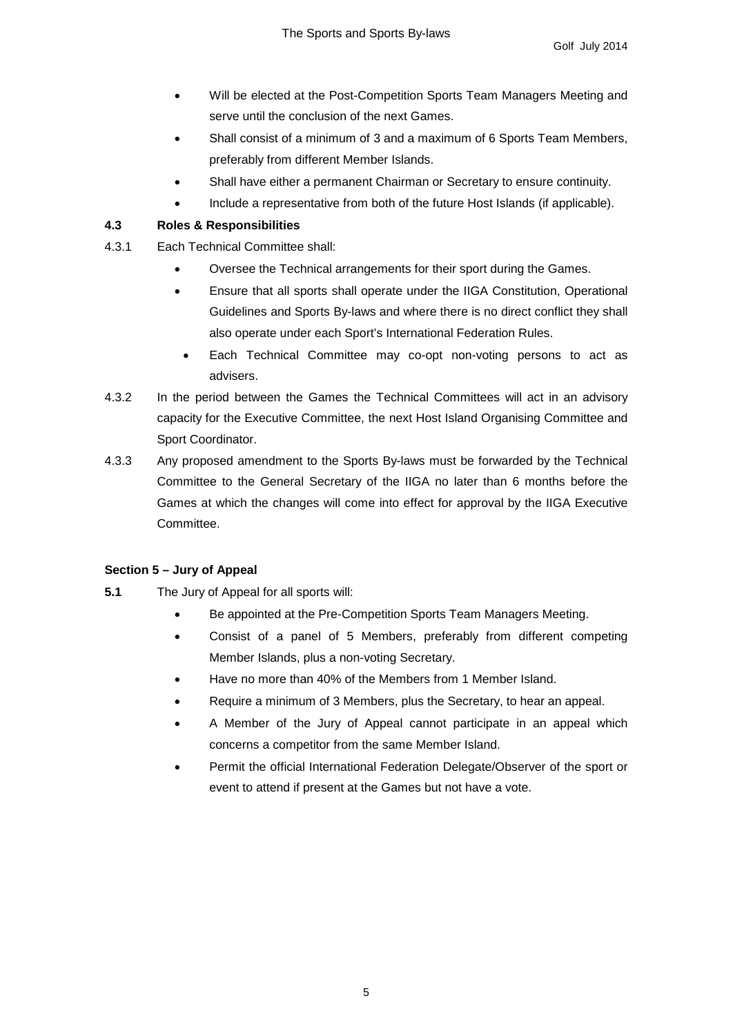- Will be elected at the Post-Competition Sports Team Managers Meeting and serve until the conclusion of the next Games.
- Shall consist of a minimum of 3 and a maximum of 6 Sports Team Members, preferably from different Member Islands.
- Shall have either a permanent Chairman or Secretary to ensure continuity.
- Include a representative from both of the future Host Islands (if applicable).

## **4.3 Roles & Responsibilities**

- 4.3.1 Each Technical Committee shall:
	- Oversee the Technical arrangements for their sport during the Games.
	- Ensure that all sports shall operate under the IIGA Constitution, Operational Guidelines and Sports By-laws and where there is no direct conflict they shall also operate under each Sport's International Federation Rules.
		- Each Technical Committee may co-opt non-voting persons to act as advisers.
- 4.3.2 In the period between the Games the Technical Committees will act in an advisory capacity for the Executive Committee, the next Host Island Organising Committee and Sport Coordinator.
- 4.3.3 Any proposed amendment to the Sports By-laws must be forwarded by the Technical Committee to the General Secretary of the IIGA no later than 6 months before the Games at which the changes will come into effect for approval by the IIGA Executive Committee.

## **Section 5 – Jury of Appeal**

- **5.1** The Jury of Appeal for all sports will:
	- Be appointed at the Pre-Competition Sports Team Managers Meeting.
	- Consist of a panel of 5 Members, preferably from different competing Member Islands, plus a non-voting Secretary.
	- Have no more than 40% of the Members from 1 Member Island.
	- Require a minimum of 3 Members, plus the Secretary, to hear an appeal.
	- A Member of the Jury of Appeal cannot participate in an appeal which concerns a competitor from the same Member Island.
	- Permit the official International Federation Delegate/Observer of the sport or event to attend if present at the Games but not have a vote.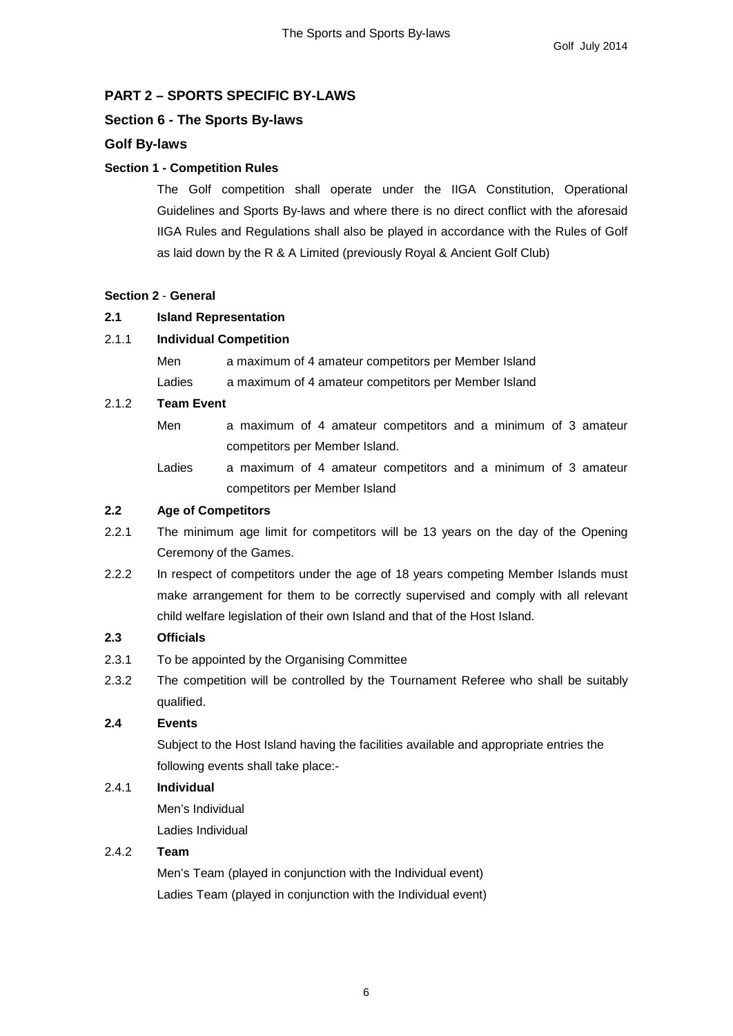## **PART 2 – SPORTS SPECIFIC BY-LAWS**

## **Section 6 - The Sports By-laws**

## **Golf By-laws**

## **Section 1 - Competition Rules**

The Golf competition shall operate under the IIGA Constitution, Operational Guidelines and Sports By-laws and where there is no direct conflict with the aforesaid IIGA Rules and Regulations shall also be played in accordance with the Rules of Golf as laid down by the R & A Limited (previously Royal & Ancient Golf Club)

#### **Section 2** - **General**

## **2.1 Island Representation**

#### 2.1.1 **Individual Competition**

| Men    | a maximum of 4 amateur competitors per Member Island |
|--------|------------------------------------------------------|
| Ladies | a maximum of 4 amateur competitors per Member Island |

#### 2.1.2 **Team Event**

Men a maximum of 4 amateur competitors and a minimum of 3 amateur competitors per Member Island.

Ladies a maximum of 4 amateur competitors and a minimum of 3 amateur competitors per Member Island

## **2.2 Age of Competitors**

- 2.2.1 The minimum age limit for competitors will be 13 years on the day of the Opening Ceremony of the Games.
- 2.2.2 In respect of competitors under the age of 18 years competing Member Islands must make arrangement for them to be correctly supervised and comply with all relevant child welfare legislation of their own Island and that of the Host Island.

#### **2.3 Officials**

- 2.3.1 To be appointed by the Organising Committee
- 2.3.2 The competition will be controlled by the Tournament Referee who shall be suitably qualified.

## **2.4 Events**

Subject to the Host Island having the facilities available and appropriate entries the following events shall take place:-

## 2.4.1 **Individual**

Men's Individual Ladies Individual

## 2.4.2 **Team**

Men's Team (played in conjunction with the Individual event) Ladies Team (played in conjunction with the Individual event)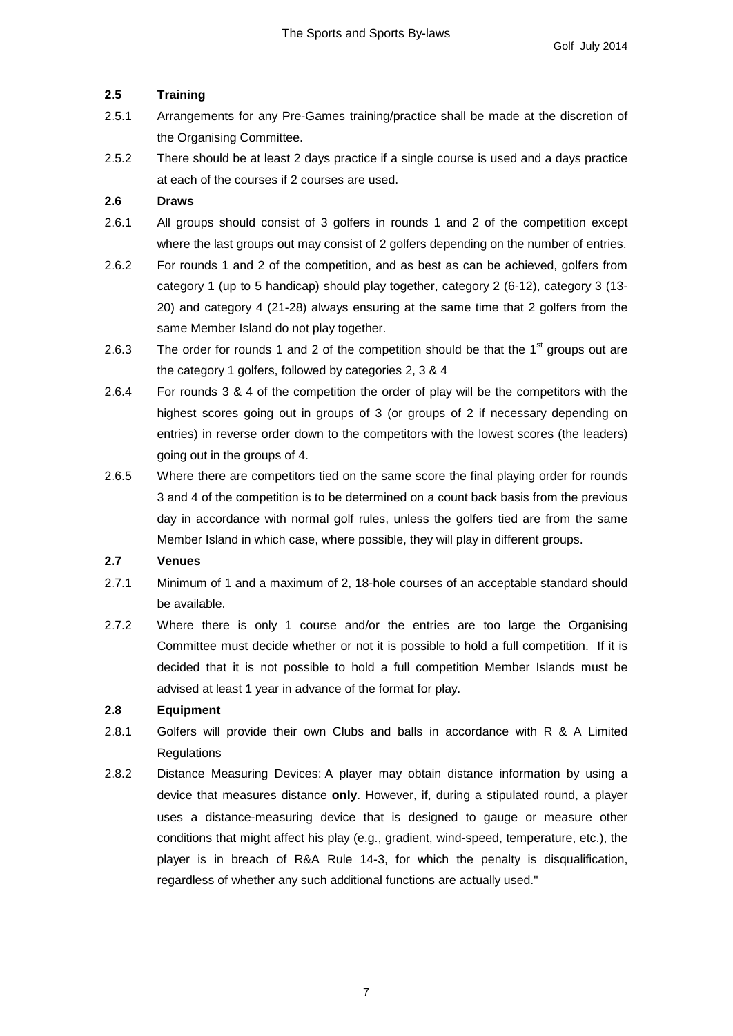## **2.5 Training**

- 2.5.1 Arrangements for any Pre-Games training/practice shall be made at the discretion of the Organising Committee.
- 2.5.2 There should be at least 2 days practice if a single course is used and a days practice at each of the courses if 2 courses are used.

## **2.6 Draws**

- 2.6.1 All groups should consist of 3 golfers in rounds 1 and 2 of the competition except where the last groups out may consist of 2 golfers depending on the number of entries.
- 2.6.2 For rounds 1 and 2 of the competition, and as best as can be achieved, golfers from category 1 (up to 5 handicap) should play together, category 2 (6-12), category 3 (13- 20) and category 4 (21-28) always ensuring at the same time that 2 golfers from the same Member Island do not play together.
- 2.6.3 The order for rounds 1 and 2 of the competition should be that the  $1<sup>st</sup>$  groups out are the category 1 golfers, followed by categories 2, 3 & 4
- 2.6.4 For rounds 3 & 4 of the competition the order of play will be the competitors with the highest scores going out in groups of 3 (or groups of 2 if necessary depending on entries) in reverse order down to the competitors with the lowest scores (the leaders) going out in the groups of 4.
- 2.6.5 Where there are competitors tied on the same score the final playing order for rounds 3 and 4 of the competition is to be determined on a count back basis from the previous day in accordance with normal golf rules, unless the golfers tied are from the same Member Island in which case, where possible, they will play in different groups.

#### **2.7 Venues**

- 2.7.1 Minimum of 1 and a maximum of 2, 18-hole courses of an acceptable standard should be available.
- 2.7.2 Where there is only 1 course and/or the entries are too large the Organising Committee must decide whether or not it is possible to hold a full competition. If it is decided that it is not possible to hold a full competition Member Islands must be advised at least 1 year in advance of the format for play.

## **2.8 Equipment**

- 2.8.1 Golfers will provide their own Clubs and balls in accordance with R & A Limited **Regulations**
- 2.8.2 Distance Measuring Devices: A player may obtain distance information by using a device that measures distance **only**. However, if, during a stipulated round, a player uses a distance-measuring device that is designed to gauge or measure other conditions that might affect his play (e.g., gradient, wind-speed, temperature, etc.), the player is in breach of R&A Rule 14-3, for which the penalty is disqualification, regardless of whether any such additional functions are actually used."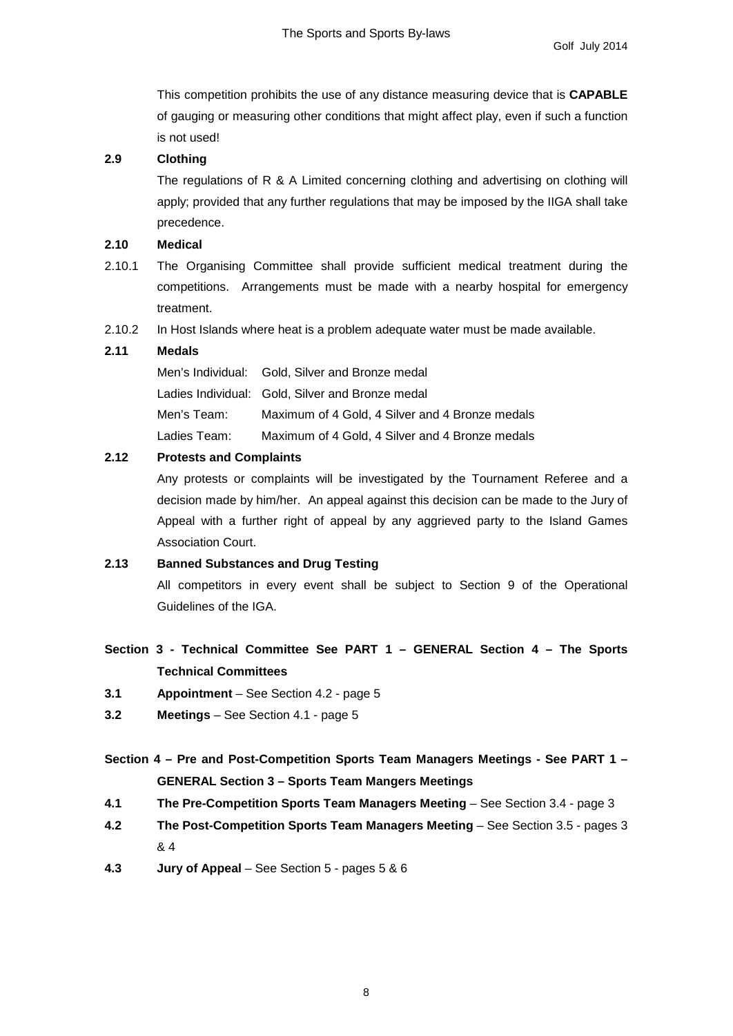This competition prohibits the use of any distance measuring device that is **CAPABLE** of gauging or measuring other conditions that might affect play, even if such a function is not used!

## **2.9 Clothing**

The regulations of R & A Limited concerning clothing and advertising on clothing will apply; provided that any further regulations that may be imposed by the IIGA shall take precedence.

#### **2.10 Medical**

- 2.10.1 The Organising Committee shall provide sufficient medical treatment during the competitions. Arrangements must be made with a nearby hospital for emergency treatment.
- 2.10.2 In Host Islands where heat is a problem adequate water must be made available.

#### **2.11 Medals**

Men's Individual: Gold, Silver and Bronze medal Ladies Individual: Gold, Silver and Bronze medal Men's Team: Maximum of 4 Gold, 4 Silver and 4 Bronze medals Ladies Team: Maximum of 4 Gold, 4 Silver and 4 Bronze medals

#### **2.12 Protests and Complaints**

Any protests or complaints will be investigated by the Tournament Referee and a decision made by him/her. An appeal against this decision can be made to the Jury of Appeal with a further right of appeal by any aggrieved party to the Island Games Association Court.

#### **2.13 Banned Substances and Drug Testing**

All competitors in every event shall be subject to Section 9 of the Operational Guidelines of the IGA.

## **Section 3 - Technical Committee See PART 1 – GENERAL Section 4 – The Sports Technical Committees**

- **3.1 Appointment**  See Section 4.2 page 5
- **3.2 Meetings**  See Section 4.1 page 5

**Section 4 – Pre and Post-Competition Sports Team Managers Meetings - See PART 1 – GENERAL Section 3 – Sports Team Mangers Meetings**

- **4.1 The Pre-Competition Sports Team Managers Meeting**  See Section 3.4 page 3
- **4.2 The Post-Competition Sports Team Managers Meeting**  See Section 3.5 pages 3 & 4
- **4.3 Jury of Appeal**  See Section 5 pages 5 & 6